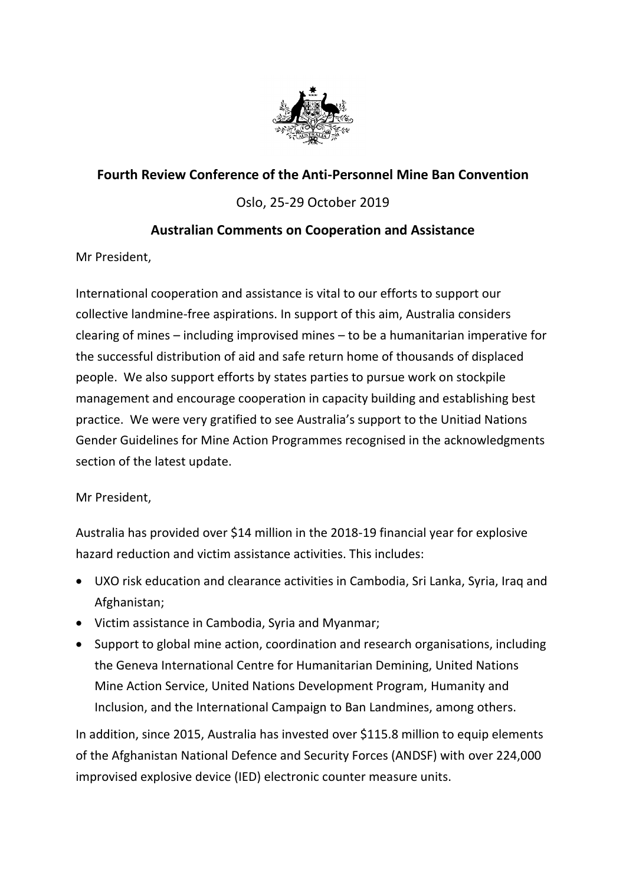

# **Fourth Review Conference of the Anti-Personnel Mine Ban Convention**

## Oslo, 25-29 October 2019

### **Australian Comments on Cooperation and Assistance**

Mr President,

International cooperation and assistance is vital to our efforts to support our collective landmine-free aspirations. In support of this aim, Australia considers clearing of mines – including improvised mines – to be a humanitarian imperative for the successful distribution of aid and safe return home of thousands of displaced people. We also support efforts by states parties to pursue work on stockpile management and encourage cooperation in capacity building and establishing best practice. We were very gratified to see Australia's support to the Unitiad Nations Gender Guidelines for Mine Action Programmes recognised in the acknowledgments section of the latest update.

#### Mr President,

Australia has provided over \$14 million in the 2018-19 financial year for explosive hazard reduction and victim assistance activities. This includes:

- UXO risk education and clearance activities in Cambodia, Sri Lanka, Syria, Iraq and Afghanistan;
- Victim assistance in Cambodia, Syria and Myanmar;
- Support to global mine action, coordination and research organisations, including the Geneva International Centre for Humanitarian Demining, United Nations Mine Action Service, United Nations Development Program, Humanity and Inclusion, and the International Campaign to Ban Landmines, among others.

In addition, since 2015, Australia has invested over \$115.8 million to equip elements of the Afghanistan National Defence and Security Forces (ANDSF) with over 224,000 improvised explosive device (IED) electronic counter measure units.